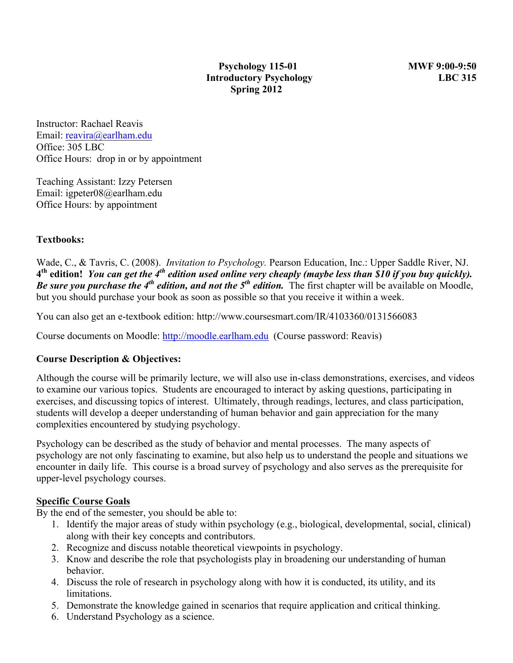Instructor: Rachael Reavis Email: reavira@earlham.edu Office: 305 LBC Office Hours: drop in or by appointment

Teaching Assistant: Izzy Petersen Email: igpeter08@earlham.edu Office Hours: by appointment

## **Textbooks:**

Wade, C., & Tavris, C. (2008). *Invitation to Psychology.* Pearson Education, Inc.: Upper Saddle River, NJ. **4th edition!** *You can get the 4th edition used online very cheaply (maybe less than \$10 if you buy quickly). Be sure you purchase the 4<sup>th</sup> edition, and not the*  $5^{th}$  *edition.* The first chapter will be available on Moodle, but you should purchase your book as soon as possible so that you receive it within a week.

You can also get an e-textbook edition: http://www.coursesmart.com/IR/4103360/0131566083

Course documents on Moodle: http://moodle.earlham.edu (Course password: Reavis)

#### **Course Description & Objectives:**

Although the course will be primarily lecture, we will also use in-class demonstrations, exercises, and videos to examine our various topics. Students are encouraged to interact by asking questions, participating in exercises, and discussing topics of interest. Ultimately, through readings, lectures, and class participation, students will develop a deeper understanding of human behavior and gain appreciation for the many complexities encountered by studying psychology.

Psychology can be described as the study of behavior and mental processes. The many aspects of psychology are not only fascinating to examine, but also help us to understand the people and situations we encounter in daily life. This course is a broad survey of psychology and also serves as the prerequisite for upper-level psychology courses.

#### **Specific Course Goals**

By the end of the semester, you should be able to:

- 1. Identify the major areas of study within psychology (e.g., biological, developmental, social, clinical) along with their key concepts and contributors.
- 2. Recognize and discuss notable theoretical viewpoints in psychology.
- 3. Know and describe the role that psychologists play in broadening our understanding of human behavior.
- 4. Discuss the role of research in psychology along with how it is conducted, its utility, and its limitations.
- 5. Demonstrate the knowledge gained in scenarios that require application and critical thinking.
- 6. Understand Psychology as a science.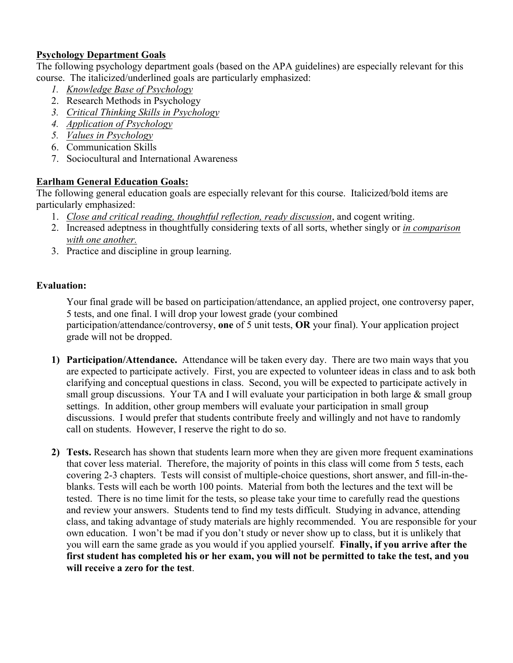## **Psychology Department Goals**

The following psychology department goals (based on the APA guidelines) are especially relevant for this course. The italicized/underlined goals are particularly emphasized:

- *1. Knowledge Base of Psychology*
- 2. Research Methods in Psychology
- *3. Critical Thinking Skills in Psychology*
- *4. Application of Psychology*
- *5. Values in Psychology*
- 6. Communication Skills
- 7. Sociocultural and International Awareness

## **Earlham General Education Goals:**

The following general education goals are especially relevant for this course. Italicized/bold items are particularly emphasized:

- 1. *Close and critical reading, thoughtful reflection, ready discussion*, and cogent writing.
- 2. Increased adeptness in thoughtfully considering texts of all sorts, whether singly or *in comparison with one another.*
- 3. Practice and discipline in group learning.

## **Evaluation:**

Your final grade will be based on participation/attendance, an applied project, one controversy paper, 5 tests, and one final. I will drop your lowest grade (your combined participation/attendance/controversy, **one** of 5 unit tests, **OR** your final). Your application project grade will not be dropped.

- **1) Participation/Attendance.** Attendance will be taken every day. There are two main ways that you are expected to participate actively. First, you are expected to volunteer ideas in class and to ask both clarifying and conceptual questions in class. Second, you will be expected to participate actively in small group discussions. Your TA and I will evaluate your participation in both large  $\&$  small group settings. In addition, other group members will evaluate your participation in small group discussions. I would prefer that students contribute freely and willingly and not have to randomly call on students. However, I reserve the right to do so.
- **2) Tests.** Research has shown that students learn more when they are given more frequent examinations that cover less material. Therefore, the majority of points in this class will come from 5 tests, each covering 2-3 chapters. Tests will consist of multiple-choice questions, short answer, and fill-in-theblanks. Tests will each be worth 100 points. Material from both the lectures and the text will be tested. There is no time limit for the tests, so please take your time to carefully read the questions and review your answers. Students tend to find my tests difficult. Studying in advance, attending class, and taking advantage of study materials are highly recommended. You are responsible for your own education. I won't be mad if you don't study or never show up to class, but it is unlikely that you will earn the same grade as you would if you applied yourself. **Finally, if you arrive after the first student has completed his or her exam, you will not be permitted to take the test, and you will receive a zero for the test**.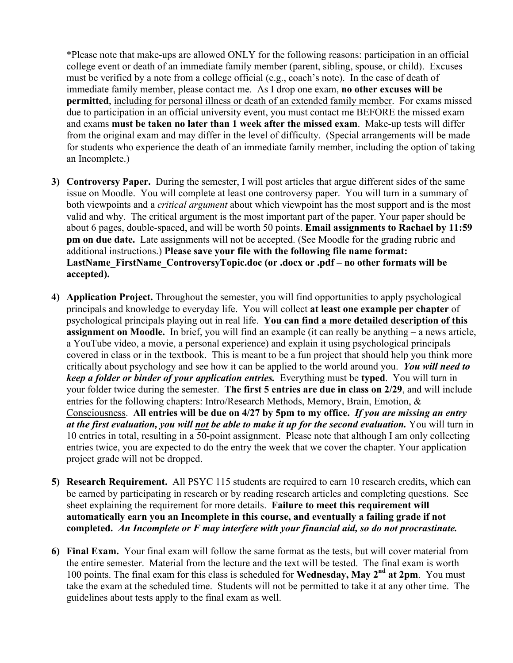\*Please note that make-ups are allowed ONLY for the following reasons: participation in an official college event or death of an immediate family member (parent, sibling, spouse, or child). Excuses must be verified by a note from a college official (e.g., coach's note). In the case of death of immediate family member, please contact me. As I drop one exam, **no other excuses will be permitted**, including for personal illness or death of an extended family member. For exams missed due to participation in an official university event, you must contact me BEFORE the missed exam and exams **must be taken no later than 1 week after the missed exam**. Make-up tests will differ from the original exam and may differ in the level of difficulty. (Special arrangements will be made for students who experience the death of an immediate family member, including the option of taking an Incomplete.)

- **3) Controversy Paper.** During the semester, I will post articles that argue different sides of the same issue on Moodle. You will complete at least one controversy paper. You will turn in a summary of both viewpoints and a *critical argument* about which viewpoint has the most support and is the most valid and why. The critical argument is the most important part of the paper. Your paper should be about 6 pages, double-spaced, and will be worth 50 points. **Email assignments to Rachael by 11:59 pm on due date.** Late assignments will not be accepted. (See Moodle for the grading rubric and additional instructions.) **Please save your file with the following file name format: LastName\_FirstName\_ControversyTopic.doc (or .docx or .pdf – no other formats will be accepted).**
- **4) Application Project.** Throughout the semester, you will find opportunities to apply psychological principals and knowledge to everyday life. You will collect **at least one example per chapter** of psychological principals playing out in real life. **You can find a more detailed description of this assignment on Moodle.** In brief, you will find an example (it can really be anything – a news article, a YouTube video, a movie, a personal experience) and explain it using psychological principals covered in class or in the textbook. This is meant to be a fun project that should help you think more critically about psychology and see how it can be applied to the world around you. *You will need to keep a folder or binder of your application entries.* Everything must be **typed**. You will turn in your folder twice during the semester. **The first 5 entries are due in class on 2/29**, and will include entries for the following chapters: Intro/Research Methods, Memory, Brain, Emotion, & Consciousness. **All entries will be due on 4/27 by 5pm to my office.** *If you are missing an entry at the first evaluation, you will not be able to make it up for the second evaluation.* You will turn in 10 entries in total, resulting in a 50-point assignment. Please note that although I am only collecting entries twice, you are expected to do the entry the week that we cover the chapter. Your application project grade will not be dropped.
- **5) Research Requirement.** All PSYC 115 students are required to earn 10 research credits, which can be earned by participating in research or by reading research articles and completing questions. See sheet explaining the requirement for more details. **Failure to meet this requirement will automatically earn you an Incomplete in this course, and eventually a failing grade if not completed.** *An Incomplete or F may interfere with your financial aid, so do not procrastinate.*
- **6) Final Exam.** Your final exam will follow the same format as the tests, but will cover material from the entire semester. Material from the lecture and the text will be tested. The final exam is worth 100 points. The final exam for this class is scheduled for **Wednesday, May 2nd at 2pm**. You must take the exam at the scheduled time.Students will not be permitted to take it at any other time. The guidelines about tests apply to the final exam as well.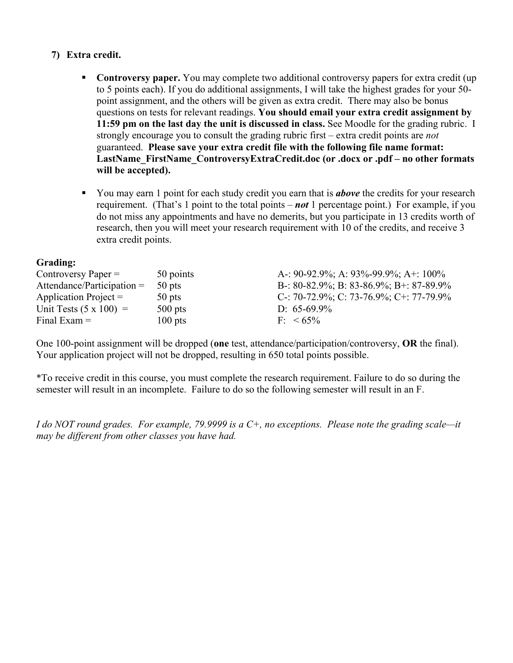## **7) Extra credit.**

- § **Controversy paper.** You may complete two additional controversy papers for extra credit (up to 5 points each). If you do additional assignments, I will take the highest grades for your 50 point assignment, and the others will be given as extra credit. There may also be bonus questions on tests for relevant readings. **You should email your extra credit assignment by 11:59 pm on the last day the unit is discussed in class.** See Moodle for the grading rubric. I strongly encourage you to consult the grading rubric first – extra credit points are *not* guaranteed. **Please save your extra credit file with the following file name format: LastName\_FirstName\_ControversyExtraCredit.doc (or .docx or .pdf – no other formats will be accepted).**
- You may earn 1 point for each study credit you earn that is *above* the credits for your research requirement. (That's 1 point to the total points – *not* 1 percentage point.) For example, if you do not miss any appointments and have no demerits, but you participate in 13 credits worth of research, then you will meet your research requirement with 10 of the credits, and receive 3 extra credit points.

#### **Grading:**

| Controversy Paper $=$         | 50 points | A-: 90-92.9%; A: 93%-99.9%; A+: 100%    |
|-------------------------------|-----------|-----------------------------------------|
| Attendance/Participation $=$  | 50 pts    | B-: 80-82.9%; B: 83-86.9%; B+: 87-89.9% |
| Application Project $=$       | $50$ pts  | C-: 70-72.9%; C: 73-76.9%; C+: 77-79.9% |
| Unit Tests $(5 \times 100)$ = | $500$ pts | D: $65-69.9\%$                          |
| Final Exam $=$                | $100$ pts | $F< 65\%$                               |

One 100-point assignment will be dropped (**one** test, attendance/participation/controversy, **OR** the final). Your application project will not be dropped, resulting in 650 total points possible.

\*To receive credit in this course, you must complete the research requirement. Failure to do so during the semester will result in an incomplete. Failure to do so the following semester will result in an F.

*I do NOT round grades. For example, 79.9999 is a C+, no exceptions. Please note the grading scale—it may be different from other classes you have had.*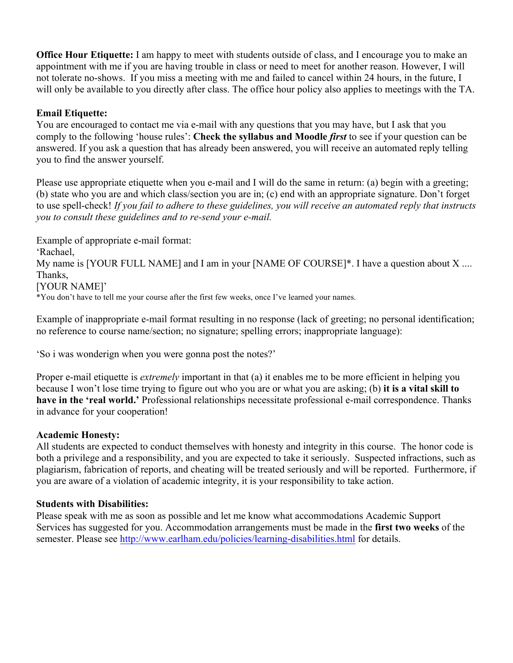**Office Hour Etiquette:** I am happy to meet with students outside of class, and I encourage you to make an appointment with me if you are having trouble in class or need to meet for another reason. However, I will not tolerate no-shows. If you miss a meeting with me and failed to cancel within 24 hours, in the future, I will only be available to you directly after class. The office hour policy also applies to meetings with the TA.

### **Email Etiquette:**

You are encouraged to contact me via e-mail with any questions that you may have, but I ask that you comply to the following 'house rules': **Check the syllabus and Moodle** *first* to see if your question can be answered. If you ask a question that has already been answered, you will receive an automated reply telling you to find the answer yourself.

Please use appropriate etiquette when you e-mail and I will do the same in return: (a) begin with a greeting; (b) state who you are and which class/section you are in; (c) end with an appropriate signature. Don't forget to use spell-check! *If you fail to adhere to these guidelines, you will receive an automated reply that instructs you to consult these guidelines and to re-send your e-mail.*

Example of appropriate e-mail format: 'Rachael, My name is [YOUR FULL NAME] and I am in your [NAME OF COURSE]\*. I have a question about X .... Thanks, [YOUR NAME]' \*You don't have to tell me your course after the first few weeks, once I've learned your names.

Example of inappropriate e-mail format resulting in no response (lack of greeting; no personal identification; no reference to course name/section; no signature; spelling errors; inappropriate language):

'So i was wonderign when you were gonna post the notes?'

Proper e-mail etiquette is *extremely* important in that (a) it enables me to be more efficient in helping you because I won't lose time trying to figure out who you are or what you are asking; (b) **it is a vital skill to have in the 'real world.'** Professional relationships necessitate professional e-mail correspondence. Thanks in advance for your cooperation!

#### **Academic Honesty:**

All students are expected to conduct themselves with honesty and integrity in this course. The honor code is both a privilege and a responsibility, and you are expected to take it seriously. Suspected infractions, such as plagiarism, fabrication of reports, and cheating will be treated seriously and will be reported. Furthermore, if you are aware of a violation of academic integrity, it is your responsibility to take action.

#### **Students with Disabilities:**

Please speak with me as soon as possible and let me know what accommodations Academic Support Services has suggested for you. Accommodation arrangements must be made in the **first two weeks** of the semester. Please see http://www.earlham.edu/policies/learning-disabilities.html for details.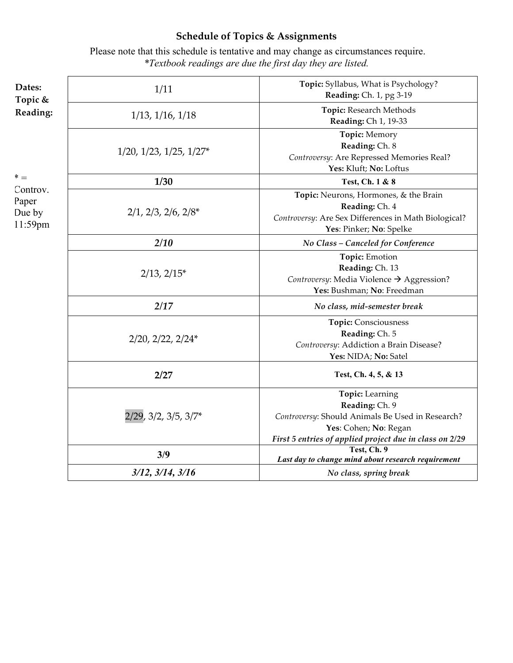# **Schedule of Topics & Assignments**

Please note that this schedule is tentative and may change as circumstances require. *\*Textbook readings are due the first day they are listed.*

| Dates:<br>Topic &                               | 1/11                               | Topic: Syllabus, What is Psychology?<br>Reading: Ch. 1, pg 3-19                                                                                                                  |
|-------------------------------------------------|------------------------------------|----------------------------------------------------------------------------------------------------------------------------------------------------------------------------------|
| Reading:                                        | $1/13$ , $1/16$ , $1/18$           | Topic: Research Methods<br>Reading: Ch 1, 19-33                                                                                                                                  |
| $* =$<br>Controv.<br>Paper<br>Due by<br>11:59pm | $1/20$ , $1/23$ , $1/25$ , $1/27*$ | Topic: Memory<br>Reading: Ch. 8<br>Controversy: Are Repressed Memories Real?<br>Yes: Kluft; No: Loftus                                                                           |
|                                                 | 1/30                               | Test, Ch. 1 & 8                                                                                                                                                                  |
|                                                 | $2/1$ , $2/3$ , $2/6$ , $2/8*$     | Topic: Neurons, Hormones, & the Brain<br>Reading: Ch. 4<br>Controversy: Are Sex Differences in Math Biological?<br>Yes: Pinker; No: Spelke                                       |
|                                                 | 2/10                               | No Class - Canceled for Conference                                                                                                                                               |
|                                                 | $2/13$ , $2/15*$                   | Topic: Emotion<br>Reading: Ch. 13<br>Controversy: Media Violence $\rightarrow$ Aggression?<br>Yes: Bushman; No: Freedman                                                         |
|                                                 | 2/17                               | No class, mid-semester break                                                                                                                                                     |
|                                                 | $2/20$ , $2/22$ , $2/24*$          | Topic: Consciousness<br>Reading: Ch. 5<br>Controversy: Addiction a Brain Disease?<br>Yes: NIDA; No: Satel                                                                        |
|                                                 | 2/27                               | Test, Ch. 4, 5, & 13                                                                                                                                                             |
|                                                 | 2/29, 3/2, 3/5, 3/7*               | <b>Topic:</b> Learning<br>Reading: Ch. 9<br>Controversy: Should Animals Be Used in Research?<br>Yes: Cohen; No: Regan<br>First 5 entries of applied project due in class on 2/29 |
|                                                 | 3/9                                | Test, Ch. 9<br>Last day to change mind about research requirement                                                                                                                |
|                                                 | $3/12$ , $3/14$ , $3/16$           | No class, spring break                                                                                                                                                           |